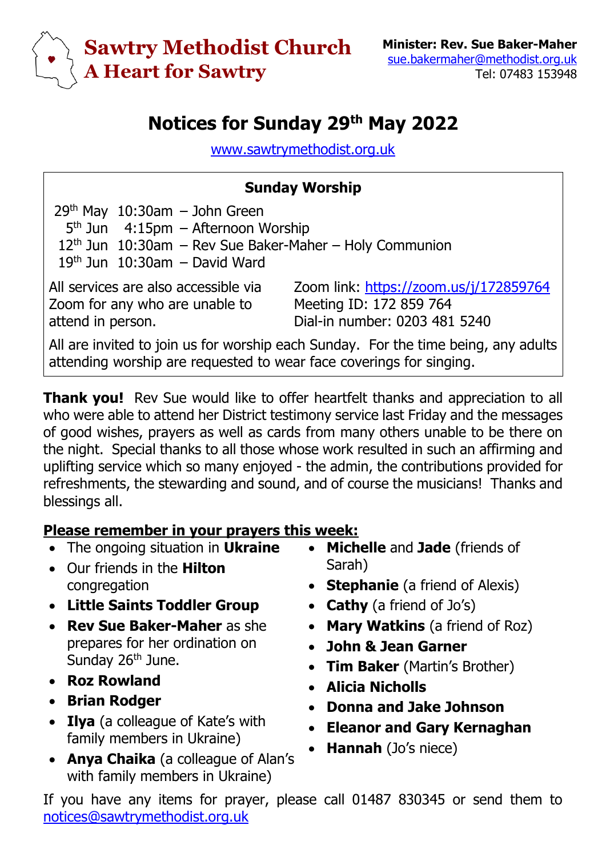

## **Notices for Sunday 29 th May 2022**

[www.sawtrymethodist.org.uk](http://www.sawtrymethodist.org.uk/)

## **Sunday Worship**

 $29<sup>th</sup>$  May  $10:30$ am – John Green 5<sup>th</sup> Jun 4:15pm - Afternoon Worship  $12<sup>th</sup>$  Jun  $10:30$ am – Rev Sue Baker-Maher – Holy Communion  $19<sup>th</sup>$  Jun  $10:30$ am – David Ward

All services are also accessible via Zoom for any who are unable to attend in person.

Zoom link:<https://zoom.us/j/172859764> Meeting ID: 172 859 764 Dial-in number: 0203 481 5240

All are invited to join us for worship each Sunday. For the time being, any adults attending worship are requested to wear face coverings for singing.

**Thank you!** Rev Sue would like to offer heartfelt thanks and appreciation to all who were able to attend her District testimony service last Friday and the messages of good wishes, prayers as well as cards from many others unable to be there on the night. Special thanks to all those whose work resulted in such an affirming and uplifting service which so many enjoyed - the admin, the contributions provided for refreshments, the stewarding and sound, and of course the musicians! Thanks and blessings all.

## **Please remember in your prayers this week:**

- The ongoing situation in **Ukraine**
- Our friends in the **Hilton** congregation
- **Little Saints Toddler Group**
- **Rev Sue Baker-Maher** as she prepares for her ordination on Sunday 26<sup>th</sup> June.
- **Roz Rowland**
- **Brian Rodger**
- **Ilya** (a colleague of Kate's with family members in Ukraine)
- **Anya Chaika** (a colleague of Alan's with family members in Ukraine)
- **Michelle** and **Jade** (friends of Sarah)
- **Stephanie** (a friend of Alexis)
- **Cathy** (a friend of Jo's)
- **Mary Watkins** (a friend of Roz)
- **John & Jean Garner**
- **Tim Baker** (Martin's Brother)
- **Alicia Nicholls**
- **Donna and Jake Johnson**
- **Eleanor and Gary Kernaghan**
- **Hannah** (Jo's niece)

If you have any items for prayer, please call 01487 830345 or send them to [notices@sawtrymethodist.org.uk](mailto:notices@sawtrymethodist.org.uk)